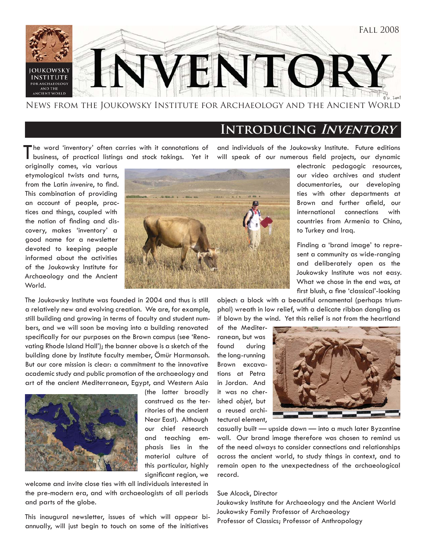

### News from the Joukowsky Institute for Archaeology and the Ancient World

### **Introducing Inventory**

'he word 'inventory' often carries with it connotations of business, of practical listings and stock takings. Yet it

originally comes, via various etymological twists and turns, from the Latin *invenire*, to find. This combination of providing an account of people, practices and things, coupled with the notion of finding and discovery, makes 'inventory' a good name for a newsletter devoted to keeping people informed about the activities of the Joukowsky Institute for Archaeology and the Ancient World.



and individuals of the Joukowsky Institute. Future editions will speak of our numerous field projects, our dynamic

> electronic pedagogic resources, our video archives and student documentaries, our developing ties with other departments at Brown and further afield, our international connections with countries from Armenia to China, to Turkey and Iraq.

> Finding a 'brand image' to represent a community as wide-ranging and deliberately open as the Joukowsky Institute was not easy. What we chose in the end was, at first blush, a fine 'classical'-looking

The Joukowsky Institute was founded in 2004 and thus is still a relatively new and evolving creation. We are, for example, still building and growing in terms of faculty and student numbers, and we will soon be moving into a building renovated specifically for our purposes on the Brown campus (see 'Renovating Rhode Island Hall'); the banner above is a sketch of the building done by Institute faculty member, Ömür Harmansah. But our core mission is clear: a commitment to the innovative academic study and public promotion of the archaeology and art of the ancient Mediterranean, Egypt, and Western Asia



(the latter broadly construed as the territories of the ancient Near East). Although our chief research and teaching emphasis lies in the material culture of this particular, highly significant region, we

welcome and invite close ties with all individuals interested in the pre-modern era, and with archaeologists of all periods and parts of the globe.

This inaugural newsletter, issues of which will appear biannually, will just begin to touch on some of the initiatives

object: a block with a beautiful ornamental (perhaps triumphal) wreath in low relief, with a delicate ribbon dangling as if blown by the wind. Yet this relief is not from the heartland

of the Mediterranean, but was found during the long-running Brown excavations at Petra in Jordan. And it was no cherished *objet*, but a reused architectural element,



casually built — upside down — into a much later Byzantine wall. Our brand image therefore was chosen to remind us of the need always to consider connections and relationships across the ancient world, to study things in context, and to remain open to the unexpectedness of the archaeological record.

#### Sue Alcock, Director

Joukowsky Institute for Archaeology and the Ancient World Joukowsky Family Professor of Archaeology Professor of Classics; Professor of Anthropology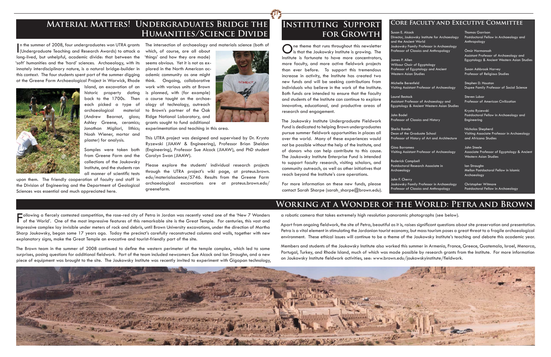I (Undergraduate Teaching and Research Awards) to attack a long-lived, but unhelpful, academic divide: that between the 'soft' humanities and the 'hard' sciences. Archaeology, with its innately interdisciplinary nature, is a natural bridge-builder in this context. The four students spent part of the summer digging at the Greene Farm Archaeological Project in Warwick, Rhode



Samples were taken both from Greene Farm and the collections of the Joukowsky Institute, and the students ran all manner of scientific tests

Island, an excavation of an historic property dating back to the 1700s. Then each picked a type of archaeological material (Andrew Bearnot, glass; Ashley Greene, ceramics; Jonathan Migliori, lithics; Noah Wiener, mortar and plaster) for analysis.

upon them. The friendly cooperation of faculty and staff in the Division of Engineering and the Department of Geological Sciences was essential and much appreciated here.

In the summer of 2008, four undergraduates won UTRA grants The intersection of archaeology and materials science (both of

which, of course, are all about 'things' and how they are made) seems obvious. Yet it is not as explored in the North American academic community as one might think. Ongoing, collaborative work with various units at Brown is planned, with (for example) a course taught on the archaeology of technology, outreach to Brown's partner of the Oak Ridge National Laboratory, and grants sought to fund additional

Following a fiercely contested competition, the rose-red city of Petra in Jordan was recently voted one of the 'New 7 Wonders<br>The World'. One of the most impressive features of this remarkable site is the Great Temple. For impressive complex lay invisible under meters of rock and debris, until Brown University excavations, under the direction of Martha Sharp Joukowsky, began some 17 years ago. Today the precinct's carefully reconstructed columns and walls, together with new explanatory signs, make the Great Temple an evocative and tourist-friendly part of the site.

The Brown team in the summer of 2008 continued to define the western perimeter of the temple complex, which led to some surprises, posing questions for additional fieldwork. Part of the team included newcomers Sue Alcock and Ian Straughn, and a new piece of equipment was brought to the site. The Joukowsky Institute was recently invited to experiment with Gigapan technology,

## **INSTITUTING SUPPORT** CORE FACULTY AND EXECUTIVE COMMITTEE

experimentation and teaching in this area.

This UTRA project was designed and supervised by Dr. Krysta Ryzewski (JIAAW & Engineering), Professor Brian Sheldon (Engineering), Professor Sue Alcock (JIAAW), and PhD student Carolyn Swan (JIAAW).

> Apart from ongoing fieldwork, the site of Petra, beautiful as it is, raises significant questions about site preservation and presentation. Petra is a vital element in stimulating the Jordanian tourist economy, but mass tourism poses a great threat to a fragile archaeological environment. These ethical issues will continue to be a theme of the Joukowsky Institute's teaching and debate this academic year.

> Members and students of the Joukowsky Institute also worked this summer in Armenia, France, Greece, Guatemala, Israel, Menorca, Portugal, Turkey, and Rhode Island, much of which was made possible by research grants from the Institute. For more information on Joukowsky Institute fieldwork activities, see: www.brown.edu/joukowskyinstitute/fieldwork.



Please explore the students' individual research projects through the UTRA project's wiki page, at proteus.brown. edu/materialsscience/5746. Results from the Greene Farm archaeological excavations are at proteus.brown.edu/ greenefarm.



# **Material Matters! Undergraduates Bridge the Humanities/Science Divide**

One theme that runs throughout this newsletter is that the Joukowsky Institute is growing. The Institute is fortunate to have more concentrators, more faculty, and more active fieldwork projects than ever before. To support this tremendous increase in activity, the Institute has created two new funds and will be seeking contributions from individuals who believe in the work of the Institute. Both funds are intended to ensure that the faculty and students of the Institute can continue to explore innovative, educational, and productive areas of research and engagement.

a robotic camera that takes extremely high resolution panoramic photographs (see below).

For more information on these new funds, please contact Sarah Sharpe (sarah\_sharpe@brown.edu).

# **Working at a Wonder of the World: Petra and Brown**

Susan E. Alcock Director, Joukowsky Institute for Archaeology and the Ancient World Joukowsky Family Professor in Archaeology Professor of Classics and Anthropology

James P. Allen Wilbour Chair of Egyptology Professor of Egyptology and Ancient Western Asian Studies

Michelle Berenfeld Visiting Assistant Professor of Archaeology

Laurel Bestock Assistant Professor of Archaeology and Egyptology & Ancient Western Asian Studies

John Bodel Professor of Classics and History

Sheila Bonde Dean of the Graduate School Professor of History of Art and Architecture

Visiting Assistant Professor of Archaeology

Gina Borromeo Archaeology

Roderick Campbell Postdoctoral Research Associate in

John F. Cherry Joukowsky Family Professor in Archaeology Professor of Classics and Anthropology

Thomas Garrison Postdoctoral Fellow in Archaeology and Anthropology

Ömür Harmansah Assistant Professor of Archaeology and Egyptology & Ancient Western Asian Studies

Susan Ashbrook Harvey Professor of Religious Studies

Stephen D. Houston Dupee Family Professor of Social Science

Steven Lubar Professor of American Civilization

Krysta Ryzewski Postdoctoral Fellow in Archaeology and Engineering

Nicholas Shepherd Visiting Associate Professor in Archaeology and Africana Studies

John Steele Associate Professor of Egyptology & Ancient Western Asian Studies

Ian Straughn Mellon Postdoctoral Fellow in Islamic Archaeology

Christopher Witmore Postdoctoral Fellow in Archaeology

# **for Growth**

The Joukowsky Institute Undergraduate Fieldwork Fund is dedicated to helping Brown undergraduates pursue summer fieldwork opportunities in places all over the world. Many of these experiences would not be possible without the help of the Institute, and of donors who can help contribute to this cause. The Joukowsky Institute Enterprise Fund is intended to support faculty research, visiting scholars, and community outreach, as well as other initiatives that reach beyond the Institute's core operations.